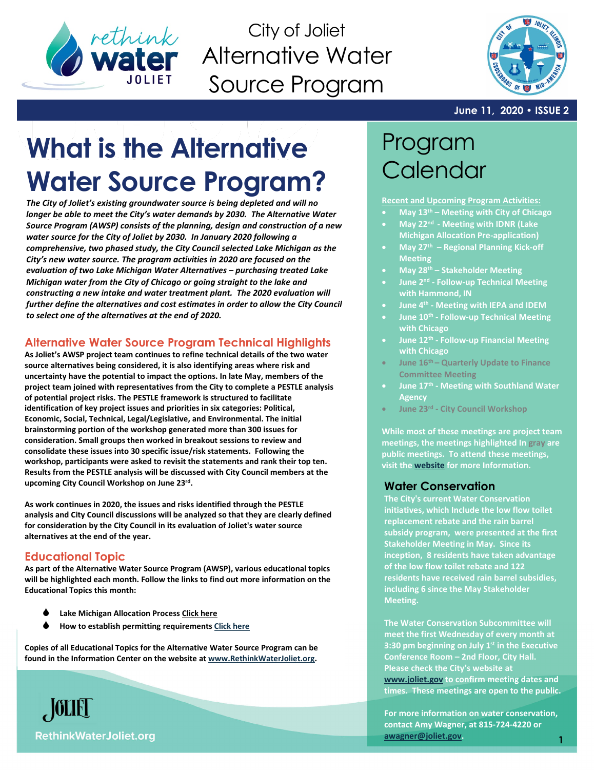

City of Joliet Alternative Water Source Program



#### **June 11, 2020 • ISSUE 2**

# **What is the Alternative Water Source Program?**

*The City of Joliet's existing groundwater source is being depleted and will no longer be able to meet the City's water demands by 2030. The Alternative Water Source Program (AWSP) consists of the planning, design and construction of a new water source for the City of Joliet by 2030. In January 2020 following a comprehensive, two phased study, the City Council selected Lake Michigan as the City's new water source. The program activities in 2020 are focused on the evaluation of two Lake Michigan Water Alternatives – purchasing treated Lake Michigan water from the City of Chicago or going straight to the lake and constructing a new intake and water treatment plant. The 2020 evaluation will*  further define the alternatives and cost estimates in order to allow the City Council *to select one of the alternatives at the end of 2020.* 

## **Alternative Water Source Program Technical Highlights**

**As Joliet's AWSP project team continues to refine technical details of the two water source alternatives being considered, it is also identifying areas where risk and uncertainty have the potential to impact the options. In late May, members of the project team joined with representatives from the City to complete a PESTLE analysis of potential project risks. The PESTLE framework is structured to facilitate identification of key project issues and priorities in six categories: Political, Economic, Social, Technical, Legal/Legislative, and Environmental. The initial brainstorming portion of the workshop generated more than 300 issues for consideration. Small groups then worked in breakout sessions to review and consolidate these issues into 30 specific issue/risk statements. Following the workshop, participants were asked to revisit the statements and rank their top ten. Results from the PESTLE analysis will be discussed with City Council members at the upcoming City Council Workshop on June 23rd.**

**As work continues in 2020, the issues and risks identified through the PESTLE analysis and City Council discussions will be analyzed so that they are clearly defined for consideration by the City Council in its evaluation of Joliet's water source alternatives at the end of the year.**

# **Educational Topic**

**As part of the Alternative Water Source Program (AWSP), various educational topics will be highlighted each month. Follow the links to find out more information on the Educational Topics this month:**

- **Lake Michigan Allocation Process [Click here](https://db3eaa5b-627b-4351-a0d6-a59bfce6a4d6.filesusr.com/ugd/3961f7_4a24cae3c1554ae08426b7378611c309.pdf)**
- **How to establish permitting requirements [Click here](https://db3eaa5b-627b-4351-a0d6-a59bfce6a4d6.filesusr.com/ugd/3961f7_6e86c5285e254f91beb1f351cc8ab1ad.pdf)**

**Copies of all Educational Topics for the Alternative Water Source Program can be found in the Information Center on the website a[t www.RethinkWaterJoliet.org.](http://www.rethinkwaterjoliet.org/)**



**Recent and Upcoming Program Activities:**

- **May 13th – Meeting with City of Chicago**
- **May 22nd - Meeting with IDNR (Lake Michigan Allocation Pre-application)**
- **May 27th – Regional Planning Kick-off Meeting**
- **May 28th – Stakeholder Meeting**
- **June 2nd - Follow-up Technical Meeting with Hammond, IN**
- **June 4th - Meeting with IEPA and IDEM**
- **June 10th - Follow-up Technical Meeting with Chicago**
- **June 12th - Follow-up Financial Meeting with Chicago**
- **June 16th – Quarterly Update to Finance Committee Meeting**
- **June 17th - Meeting with Southland Water Agency**
- **June 23rd - City Council Workshop**

**While most of these meetings are project team meetings, the meetings highlighted In gray are public meetings. To attend these meetings, visit th[e website](http://www.joliet.gov/) for more Information.**

#### **Water Conservation**

**The City's current Water Conservation initiatives, which Include the low flow toilet replacement rebate and the rain barrel subsidy program, were presented at the first Stakeholder Meeting in May. Since its inception, 8 residents have taken advantage of the low flow toilet rebate and 122 residents have received rain barrel subsidies, including 6 since the May Stakeholder Meeting.**

**The Water Conservation Subcommittee will meet the first Wednesday of every month at 3:30 pm beginning on July 1st in the Executive Conference Room – 2nd Floor, City Hall. Please check the City's website at [www.joliet.gov](http://www.joliet.gov/) to confirm meeting dates and times. These meetings are open to the public.** 

**For more information on water conservation, contact Amy Wagner, at 815-724-4220 or [awagner@joliet.gov.](mailto:awagner@joliet.gov)**

**RethinkWaterJoliet.org** 

 $\sqrt{\text{OLE}}$